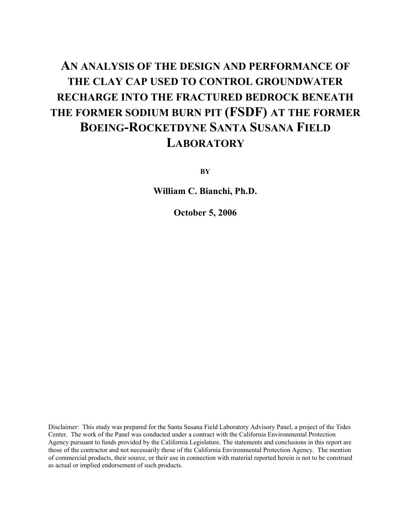# **AN ANALYSIS OF THE DESIGN AND PERFORMANCE OF THE CLAY CAP USED TO CONTROL GROUNDWATER RECHARGE INTO THE FRACTURED BEDROCK BENEATH THE FORMER SODIUM BURN PIT (FSDF) AT THE FORMER BOEING-ROCKETDYNE SANTA SUSANA FIELD LABORATORY**

**BY**

**William C. Bianchi, Ph.D.**

**October 5, 2006**

Disclaimer: This study was prepared for the Santa Susana Field Laboratory Advisory Panel, a project of the Tides Center. The work of the Panel was conducted under a contract with the California Environmental Protection Agency pursuant to funds provided by the California Legislature. The statements and conclusions in this report are those of the contractor and not necessarily those of the California Environmental Protection Agency. The mention of commercial products, their source, or their use in connection with material reported herein is not to be construed as actual or implied endorsement of such products.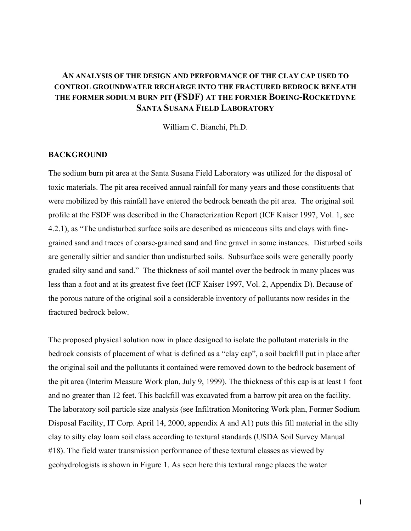# **AN ANALYSIS OF THE DESIGN AND PERFORMANCE OF THE CLAY CAP USED TO CONTROL GROUNDWATER RECHARGE INTO THE FRACTURED BEDROCK BENEATH THE FORMER SODIUM BURN PIT (FSDF) AT THE FORMER BOEING-ROCKETDYNE SANTA SUSANA FIELD LABORATORY**

William C. Bianchi, Ph.D.

# **BACKGROUND**

The sodium burn pit area at the Santa Susana Field Laboratory was utilized for the disposal of toxic materials. The pit area received annual rainfall for many years and those constituents that were mobilized by this rainfall have entered the bedrock beneath the pit area. The original soil profile at the FSDF was described in the Characterization Report (ICF Kaiser 1997, Vol. 1, sec 4.2.1), as "The undisturbed surface soils are described as micaceous silts and clays with finegrained sand and traces of coarse-grained sand and fine gravel in some instances. Disturbed soils are generally siltier and sandier than undisturbed soils. Subsurface soils were generally poorly graded silty sand and sand." The thickness of soil mantel over the bedrock in many places was less than a foot and at its greatest five feet (ICF Kaiser 1997, Vol. 2, Appendix D). Because of the porous nature of the original soil a considerable inventory of pollutants now resides in the fractured bedrock below.

The proposed physical solution now in place designed to isolate the pollutant materials in the bedrock consists of placement of what is defined as a "clay cap", a soil backfill put in place after the original soil and the pollutants it contained were removed down to the bedrock basement of the pit area (Interim Measure Work plan, July 9, 1999). The thickness of this cap is at least 1 foot and no greater than 12 feet. This backfill was excavated from a barrow pit area on the facility. The laboratory soil particle size analysis (see Infiltration Monitoring Work plan, Former Sodium Disposal Facility, IT Corp. April 14, 2000, appendix A and A1) puts this fill material in the silty clay to silty clay loam soil class according to textural standards (USDA Soil Survey Manual #18). The field water transmission performance of these textural classes as viewed by geohydrologists is shown in Figure 1. As seen here this textural range places the water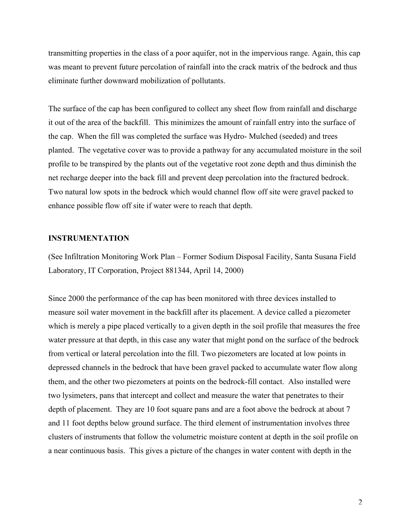transmitting properties in the class of a poor aquifer, not in the impervious range. Again, this cap was meant to prevent future percolation of rainfall into the crack matrix of the bedrock and thus eliminate further downward mobilization of pollutants.

The surface of the cap has been configured to collect any sheet flow from rainfall and discharge it out of the area of the backfill. This minimizes the amount of rainfall entry into the surface of the cap. When the fill was completed the surface was Hydro- Mulched (seeded) and trees planted. The vegetative cover was to provide a pathway for any accumulated moisture in the soil profile to be transpired by the plants out of the vegetative root zone depth and thus diminish the net recharge deeper into the back fill and prevent deep percolation into the fractured bedrock. Two natural low spots in the bedrock which would channel flow off site were gravel packed to enhance possible flow off site if water were to reach that depth.

#### **INSTRUMENTATION**

(See Infiltration Monitoring Work Plan – Former Sodium Disposal Facility, Santa Susana Field Laboratory, IT Corporation, Project 881344, April 14, 2000)

Since 2000 the performance of the cap has been monitored with three devices installed to measure soil water movement in the backfill after its placement. A device called a piezometer which is merely a pipe placed vertically to a given depth in the soil profile that measures the free water pressure at that depth, in this case any water that might pond on the surface of the bedrock from vertical or lateral percolation into the fill. Two piezometers are located at low points in depressed channels in the bedrock that have been gravel packed to accumulate water flow along them, and the other two piezometers at points on the bedrock-fill contact. Also installed were two lysimeters, pans that intercept and collect and measure the water that penetrates to their depth of placement. They are 10 foot square pans and are a foot above the bedrock at about 7 and 11 foot depths below ground surface. The third element of instrumentation involves three clusters of instruments that follow the volumetric moisture content at depth in the soil profile on a near continuous basis. This gives a picture of the changes in water content with depth in the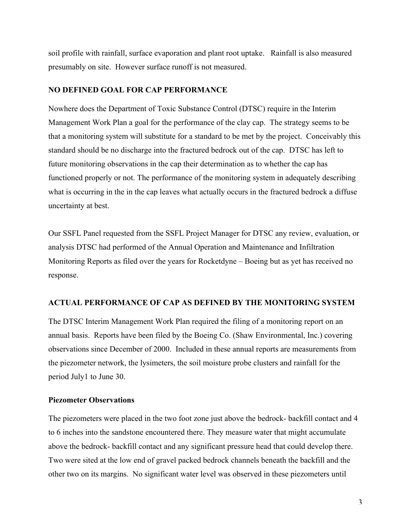soil profile with rainfall, surface evaporation and plant root uptake. Rainfall is also measured presumably on site. However surface runoff is not measured.

#### **NO DEFINED GOAL FOR CAP PERFORMANCE**

Nowhere does the Department of Toxic Substance Control (DTSC) require in the Interim Management Work Plan a goal for the performance of the clay cap. The strategy seems to be that a monitoring system will substitute for a standard to be met by the project. Conceivably this standard should be no discharge into the fractured bedrock out of the cap. DTSC has left to future monitoring observations in the cap their determination as to whether the cap has functioned properly or not. The performance of the monitoring system in adequately describing what is occurring in the in the cap leaves what actually occurs in the fractured bedrock a diffuse uncertainty at best.

Our SSFL Panel requested from the SSFL Project Manager for DTSC any review, evaluation, or analysis DTSC had performed of the Annual Operation and Maintenance and Infiltration Monitoring Reports as filed over the years for Rocketdyne – Boeing but as yet has received no response.

## **ACTUAL PERFORMANCE OF CAP AS DEFINED BY THE MONITORING SYSTEM**

The DTSC Interim Management Work Plan required the filing of a monitoring report on an annual basis. Reports have been filed by the Boeing Co. (Shaw Environmental, Inc.) covering observations since December of 2000. Included in these annual reports are measurements from the piezometer network, the lysimeters, the soil moisture probe clusters and rainfall for the period July1 to June 30.

## **Piezometer Observations**

The piezometers were placed in the two foot zone just above the bedrock- backfill contact and 4 to 6 inches into the sandstone encountered there. They measure water that might accumulate above the bedrock- backfill contact and any significant pressure head that could develop there. Two were sited at the low end of gravel packed bedrock channels beneath the backfill and the other two on its margins. No significant water level was observed in these piezometers until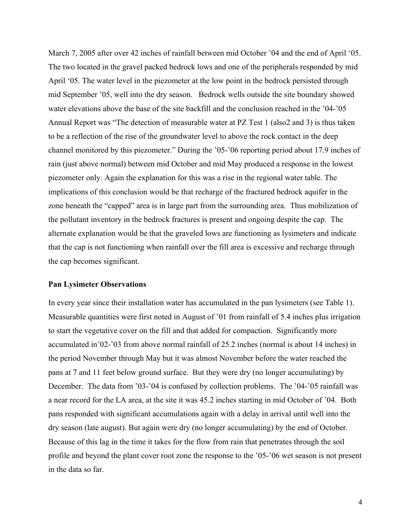March 7, 2005 after over 42 inches of rainfall between mid October '04 and the end of April '05. The two located in the gravel packed bedrock lows and one of the peripherals responded by mid April '05. The water level in the piezometer at the low point in the bedrock persisted through mid September '05, well into the dry season. Bedrock wells outside the site boundary showed water elevations above the base of the site backfill and the conclusion reached in the '04-'05 Annual Report was "The detection of measurable water at PZ Test 1 (also2 and 3) is thus taken to be a reflection of the rise of the groundwater level to above the rock contact in the deep channel monitored by this piezometer." During the '05-'06 reporting period about 17.9 inches of rain (just above normal) between mid October and mid May produced a response in the lowest piezometer only. Again the explanation for this was a rise in the regional water table. The implications of this conclusion would be that recharge of the fractured bedrock aquifer in the zone beneath the "capped" area is in large part from the surrounding area. Thus mobilization of the pollutant inventory in the bedrock fractures is present and ongoing despite the cap. The alternate explanation would be that the graveled lows are functioning as lysimeters and indicate that the cap is not functioning when rainfall over the fill area is excessive and recharge through the cap becomes significant.

#### **Pan Lysimeter Observations**

In every year since their installation water has accumulated in the pan lysimeters (see Table 1). Measurable quantities were first noted in August of '01 from rainfall of 5.4 inches plus irrigation to start the vegetative cover on the fill and that added for compaction. Significantly more accumulated in'02-'03 from above normal rainfall of 25.2 inches (normal is about 14 inches) in the period November through May but it was almost November before the water reached the pans at 7 and 11 feet below ground surface. But they were dry (no longer accumulating) by December. The data from '03-'04 is confused by collection problems. The '04-'05 rainfall was a near record for the LA area, at the site it was 45.2 inches starting in mid October of '04. Both pans responded with significant accumulations again with a delay in arrival until well into the dry season (late august). But again were dry (no longer accumulating) by the end of October. Because of this lag in the time it takes for the flow from rain that penetrates through the soil profile and beyond the plant cover root zone the response to the '05-'06 wet season is not present in the data so far.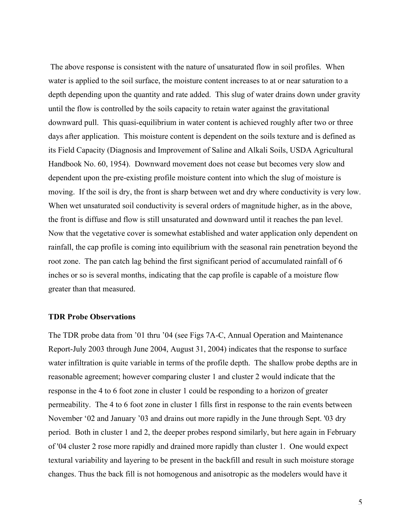The above response is consistent with the nature of unsaturated flow in soil profiles. When water is applied to the soil surface, the moisture content increases to at or near saturation to a depth depending upon the quantity and rate added. This slug of water drains down under gravity until the flow is controlled by the soils capacity to retain water against the gravitational downward pull. This quasi-equilibrium in water content is achieved roughly after two or three days after application. This moisture content is dependent on the soils texture and is defined as its Field Capacity (Diagnosis and Improvement of Saline and Alkali Soils, USDA Agricultural Handbook No. 60, 1954). Downward movement does not cease but becomes very slow and dependent upon the pre-existing profile moisture content into which the slug of moisture is moving. If the soil is dry, the front is sharp between wet and dry where conductivity is very low. When wet unsaturated soil conductivity is several orders of magnitude higher, as in the above, the front is diffuse and flow is still unsaturated and downward until it reaches the pan level. Now that the vegetative cover is somewhat established and water application only dependent on rainfall, the cap profile is coming into equilibrium with the seasonal rain penetration beyond the root zone. The pan catch lag behind the first significant period of accumulated rainfall of 6 inches or so is several months, indicating that the cap profile is capable of a moisture flow greater than that measured.

#### **TDR Probe Observations**

The TDR probe data from '01 thru '04 (see Figs 7A-C, Annual Operation and Maintenance Report-July 2003 through June 2004, August 31, 2004) indicates that the response to surface water infiltration is quite variable in terms of the profile depth. The shallow probe depths are in reasonable agreement; however comparing cluster 1 and cluster 2 would indicate that the response in the 4 to 6 foot zone in cluster 1 could be responding to a horizon of greater permeability. The 4 to 6 foot zone in cluster 1 fills first in response to the rain events between November '02 and January '03 and drains out more rapidly in the June through Sept. '03 dry period. Both in cluster 1 and 2, the deeper probes respond similarly, but here again in February of '04 cluster 2 rose more rapidly and drained more rapidly than cluster 1. One would expect textural variability and layering to be present in the backfill and result in such moisture storage changes. Thus the back fill is not homogenous and anisotropic as the modelers would have it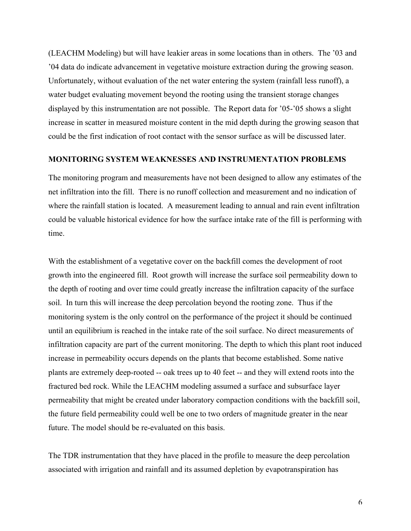(LEACHM Modeling) but will have leakier areas in some locations than in others. The '03 and '04 data do indicate advancement in vegetative moisture extraction during the growing season. Unfortunately, without evaluation of the net water entering the system (rainfall less runoff), a water budget evaluating movement beyond the rooting using the transient storage changes displayed by this instrumentation are not possible. The Report data for '05-'05 shows a slight increase in scatter in measured moisture content in the mid depth during the growing season that could be the first indication of root contact with the sensor surface as will be discussed later.

#### **MONITORING SYSTEM WEAKNESSES AND INSTRUMENTATION PROBLEMS**

The monitoring program and measurements have not been designed to allow any estimates of the net infiltration into the fill. There is no runoff collection and measurement and no indication of where the rainfall station is located. A measurement leading to annual and rain event infiltration could be valuable historical evidence for how the surface intake rate of the fill is performing with time.

With the establishment of a vegetative cover on the backfill comes the development of root growth into the engineered fill. Root growth will increase the surface soil permeability down to the depth of rooting and over time could greatly increase the infiltration capacity of the surface soil. In turn this will increase the deep percolation beyond the rooting zone. Thus if the monitoring system is the only control on the performance of the project it should be continued until an equilibrium is reached in the intake rate of the soil surface. No direct measurements of infiltration capacity are part of the current monitoring. The depth to which this plant root induced increase in permeability occurs depends on the plants that become established. Some native plants are extremely deep-rooted -- oak trees up to 40 feet -- and they will extend roots into the fractured bed rock. While the LEACHM modeling assumed a surface and subsurface layer permeability that might be created under laboratory compaction conditions with the backfill soil, the future field permeability could well be one to two orders of magnitude greater in the near future. The model should be re-evaluated on this basis.

The TDR instrumentation that they have placed in the profile to measure the deep percolation associated with irrigation and rainfall and its assumed depletion by evapotranspiration has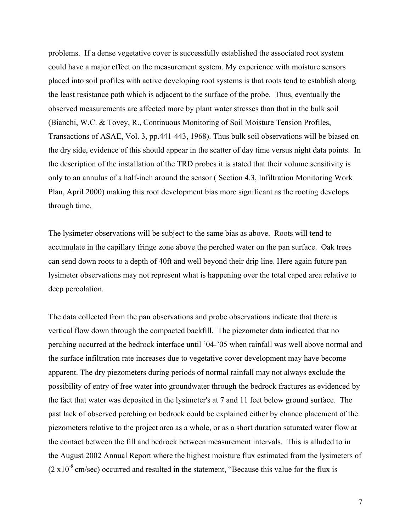problems. If a dense vegetative cover is successfully established the associated root system could have a major effect on the measurement system. My experience with moisture sensors placed into soil profiles with active developing root systems is that roots tend to establish along the least resistance path which is adjacent to the surface of the probe. Thus, eventually the observed measurements are affected more by plant water stresses than that in the bulk soil (Bianchi, W.C. & Tovey, R., Continuous Monitoring of Soil Moisture Tension Profiles, Transactions of ASAE, Vol. 3, pp.441-443, 1968). Thus bulk soil observations will be biased on the dry side, evidence of this should appear in the scatter of day time versus night data points. In the description of the installation of the TRD probes it is stated that their volume sensitivity is only to an annulus of a half-inch around the sensor ( Section 4.3, Infiltration Monitoring Work Plan, April 2000) making this root development bias more significant as the rooting develops through time.

The lysimeter observations will be subject to the same bias as above. Roots will tend to accumulate in the capillary fringe zone above the perched water on the pan surface. Oak trees can send down roots to a depth of 40ft and well beyond their drip line. Here again future pan lysimeter observations may not represent what is happening over the total caped area relative to deep percolation.

The data collected from the pan observations and probe observations indicate that there is vertical flow down through the compacted backfill. The piezometer data indicated that no perching occurred at the bedrock interface until '04-'05 when rainfall was well above normal and the surface infiltration rate increases due to vegetative cover development may have become apparent. The dry piezometers during periods of normal rainfall may not always exclude the possibility of entry of free water into groundwater through the bedrock fractures as evidenced by the fact that water was deposited in the lysimeter's at 7 and 11 feet below ground surface. The past lack of observed perching on bedrock could be explained either by chance placement of the piezometers relative to the project area as a whole, or as a short duration saturated water flow at the contact between the fill and bedrock between measurement intervals. This is alluded to in the August 2002 Annual Report where the highest moisture flux estimated from the lysimeters of  $(2 \times 10^{-8} \text{ cm/sec})$  occurred and resulted in the statement, "Because this value for the flux is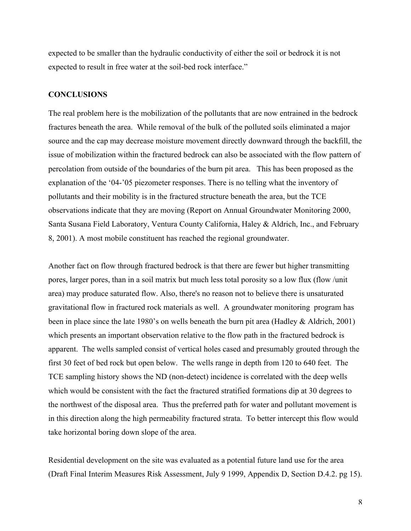expected to be smaller than the hydraulic conductivity of either the soil or bedrock it is not expected to result in free water at the soil-bed rock interface."

#### **CONCLUSIONS**

The real problem here is the mobilization of the pollutants that are now entrained in the bedrock fractures beneath the area. While removal of the bulk of the polluted soils eliminated a major source and the cap may decrease moisture movement directly downward through the backfill, the issue of mobilization within the fractured bedrock can also be associated with the flow pattern of percolation from outside of the boundaries of the burn pit area. This has been proposed as the explanation of the '04-'05 piezometer responses. There is no telling what the inventory of pollutants and their mobility is in the fractured structure beneath the area, but the TCE observations indicate that they are moving (Report on Annual Groundwater Monitoring 2000, Santa Susana Field Laboratory, Ventura County California, Haley & Aldrich, Inc., and February 8, 2001). A most mobile constituent has reached the regional groundwater.

Another fact on flow through fractured bedrock is that there are fewer but higher transmitting pores, larger pores, than in a soil matrix but much less total porosity so a low flux (flow /unit area) may produce saturated flow. Also, there's no reason not to believe there is unsaturated gravitational flow in fractured rock materials as well. A groundwater monitoring program has been in place since the late 1980's on wells beneath the burn pit area (Hadley & Aldrich, 2001) which presents an important observation relative to the flow path in the fractured bedrock is apparent. The wells sampled consist of vertical holes cased and presumably grouted through the first 30 feet of bed rock but open below. The wells range in depth from 120 to 640 feet. The TCE sampling history shows the ND (non-detect) incidence is correlated with the deep wells which would be consistent with the fact the fractured stratified formations dip at 30 degrees to the northwest of the disposal area. Thus the preferred path for water and pollutant movement is in this direction along the high permeability fractured strata. To better intercept this flow would take horizontal boring down slope of the area.

Residential development on the site was evaluated as a potential future land use for the area (Draft Final Interim Measures Risk Assessment, July 9 1999, Appendix D, Section D.4.2. pg 15).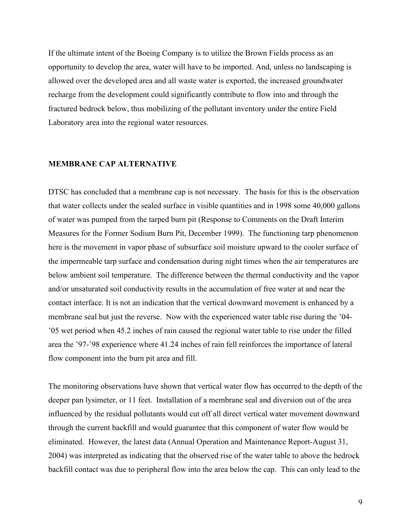If the ultimate intent of the Boeing Company is to utilize the Brown Fields process as an opportunity to develop the area, water will have to be imported. And, unless no landscaping is allowed over the developed area and all waste water is exported, the increased groundwater recharge from the development could significantly contribute to flow into and through the fractured bedrock below, thus mobilizing of the pollutant inventory under the entire Field Laboratory area into the regional water resources.

#### **MEMBRANE CAP ALTERNATIVE**

DTSC has concluded that a membrane cap is not necessary. The basis for this is the observation that water collects under the sealed surface in visible quantities and in 1998 some 40,000 gallons of water was pumped from the tarped burn pit (Response to Comments on the Draft Interim Measures for the Former Sodium Burn Pit, December 1999). The functioning tarp phenomenon here is the movement in vapor phase of subsurface soil moisture upward to the cooler surface of the impermeable tarp surface and condensation during night times when the air temperatures are below ambient soil temperature. The difference between the thermal conductivity and the vapor and/or unsaturated soil conductivity results in the accumulation of free water at and near the contact interface. It is not an indication that the vertical downward movement is enhanced by a membrane seal but just the reverse. Now with the experienced water table rise during the '04- '05 wet period when 45.2 inches of rain caused the regional water table to rise under the filled area the '97-'98 experience where 41.24 inches of rain fell reinforces the importance of lateral flow component into the burn pit area and fill.

The monitoring observations have shown that vertical water flow has occurred to the depth of the deeper pan lysimeter, or 11 feet. Installation of a membrane seal and diversion out of the area influenced by the residual pollutants would cut off all direct vertical water movement downward through the current backfill and would guarantee that this component of water flow would be eliminated. However, the latest data (Annual Operation and Maintenance Report-August 31, 2004) was interpreted as indicating that the observed rise of the water table to above the bedrock backfill contact was due to peripheral flow into the area below the cap. This can only lead to the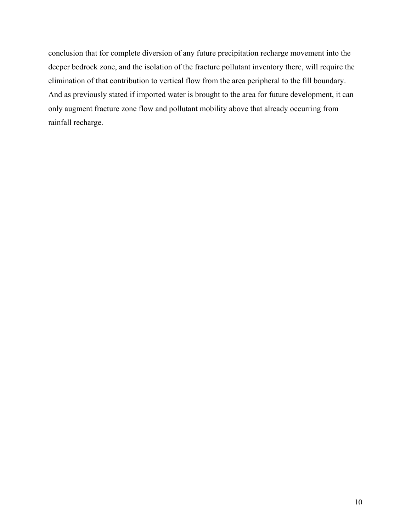conclusion that for complete diversion of any future precipitation recharge movement into the deeper bedrock zone, and the isolation of the fracture pollutant inventory there, will require the elimination of that contribution to vertical flow from the area peripheral to the fill boundary. And as previously stated if imported water is brought to the area for future development, it can only augment fracture zone flow and pollutant mobility above that already occurring from rainfall recharge.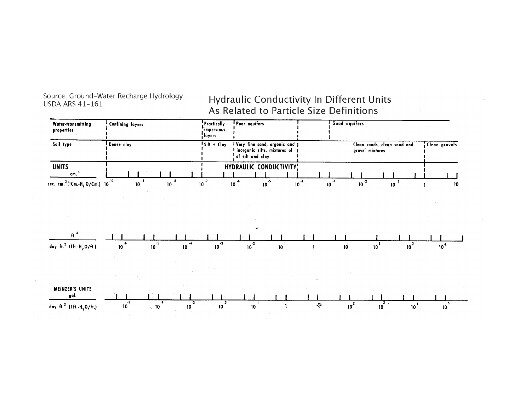Source: Ground-Water Recharge Hydrology **USDA ARS 41-161** 

# Hydraulic Conductivity In Different Units As Related to Particle Size Definitions